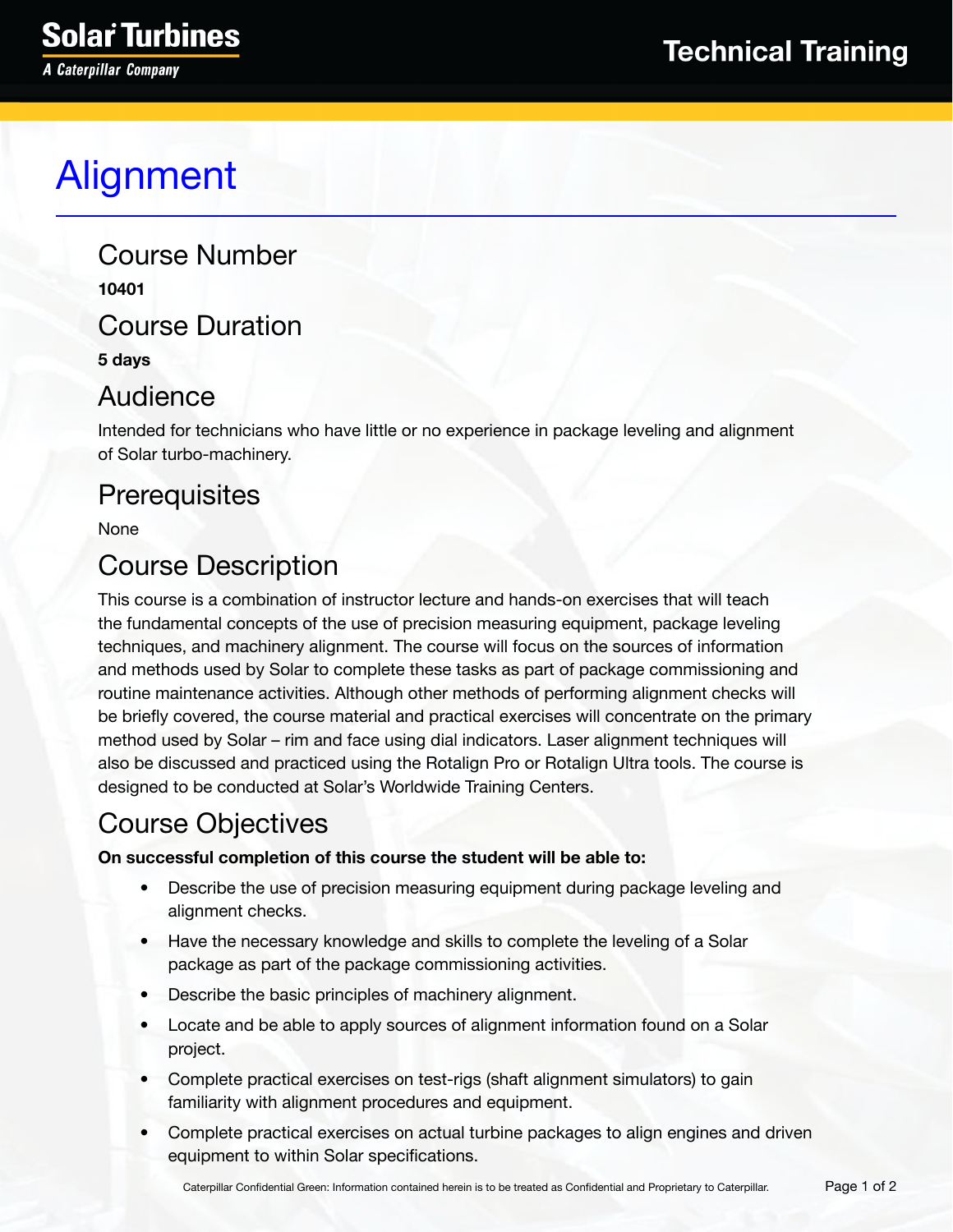# Alignment

Course Number **10401** Course Duration

**5 days**

#### Audience

Intended for technicians who have little or no experience in package leveling and alignment of Solar turbo-machinery.

## **Prerequisites**

None

## Course Description

This course is a combination of instructor lecture and hands-on exercises that will teach the fundamental concepts of the use of precision measuring equipment, package leveling techniques, and machinery alignment. The course will focus on the sources of information and methods used by Solar to complete these tasks as part of package commissioning and routine maintenance activities. Although other methods of performing alignment checks will be briefly covered, the course material and practical exercises will concentrate on the primary method used by Solar – rim and face using dial indicators. Laser alignment techniques will also be discussed and practiced using the Rotalign Pro or Rotalign Ultra tools. The course is designed to be conducted at Solar's Worldwide Training Centers.

#### Course Objectives

#### **On successful completion of this course the student will be able to:**

- Describe the use of precision measuring equipment during package leveling and alignment checks.
- Have the necessary knowledge and skills to complete the leveling of a Solar package as part of the package commissioning activities.
- Describe the basic principles of machinery alignment.
- Locate and be able to apply sources of alignment information found on a Solar project.
- Complete practical exercises on test-rigs (shaft alignment simulators) to gain familiarity with alignment procedures and equipment.
- Complete practical exercises on actual turbine packages to align engines and driven equipment to within Solar specifications.